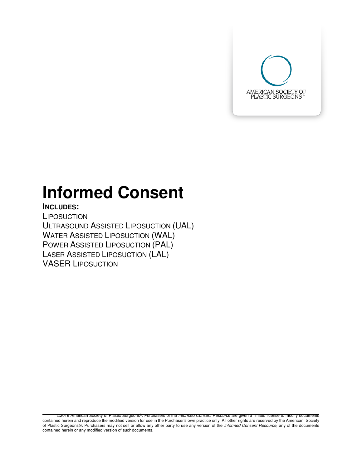

# **Informed Consent**

# **INCLUDES:**

**LIPOSUCTION** ULTRASOUND ASSISTED LIPOSUCTION (UAL) WATER ASSISTED LIPOSUCTION (WAL) POWER ASSISTED LIPOSUCTION (PAL) LASER ASSISTED LIPOSUCTION (LAL) VASER LIPOSUCTION

©2016 American Society of Plastic Surgeons®. Purchasers of the Informed Consent Resource are given a limited license to modify documents contained herein and reproduce the modified version for use in the Purchaser's own practice only. All other rights are reserved by the American Society of Plastic Surgeons®. Purchasers may not sell or allow any other party to use any version of the Informed Consent Resource, any of the documents contained herein or any modified version of such documents.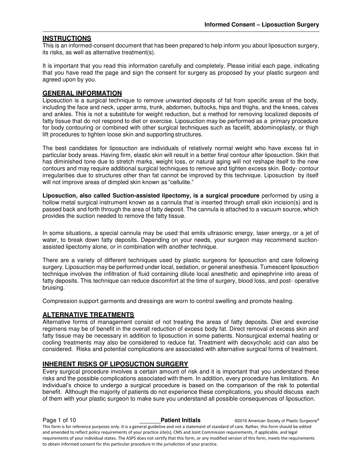#### **INSTRUCTIONS**

This is an informed-consent document that has been prepared to help inform you about liposuction surgery, its risks, as well as alternative treatment(s).

It is important that you read this information carefully and completely. Please initial each page, indicating that you have read the page and sign the consent for surgery as proposed by your plastic surgeon and agreed upon by you.

#### **GENERAL INFORMATION**

Liposuction is a surgical technique to remove unwanted deposits of fat from specific areas of the body, including the face and neck, upper arms, trunk, abdomen, buttocks, hips and thighs, and the knees, calves and ankles. This is not a substitute for weight reduction, but a method for removing localized deposits of fatty tissue that do not respond to diet or exercise. Liposuction may be performed as a primary procedure for body contouring or combined with other surgical techniques such as facelift, abdominoplasty, or thigh lift procedures to tighten loose skin and supporting structures.

The best candidates for liposuction are individuals of relatively normal weight who have excess fat in particular body areas. Having firm, elastic skin will result in a better final contour after liposuction. Skin that has diminished tone due to stretch marks, weight loss, or natural aging will not reshape itself to the new contours and may require additional surgical techniques to remove and tighten excess skin. Body- contour irregularities due to structures other than fat cannot be improved by this technique. Liposuction by itself will not improve areas of dimpled skin known as "cellulite."

**Liposuction, also called Suction-assisted lipectomy, is a surgical procedure** performed by using a hollow metal surgical instrument known as a cannula that is inserted through small skin incision(s) and is passed back and forth through the area of fatty deposit. The cannula is attached to a vacuum source, which provides the suction needed to remove the fatty tissue.

In some situations, a special cannula may be used that emits ultrasonic energy, laser energy, or a jet of water, to break down fatty deposits. Depending on your needs, your surgeon may recommend suctionassisted lipectomy alone, or in combination with another technique.

There are a variety of different techniques used by plastic surgeons for liposuction and care following surgery. Liposuction may be performed under local, sedation, or general anesthesia. Tumescent liposuction technique involves the infiltration of fluid containing dilute local anesthetic and epinephrine into areas of fatty deposits. This technique can reduce discomfort at the time of surgery, blood loss, and post- operative bruising.

Compression support garments and dressings are worn to control swelling and promote healing.

#### **ALTERNATIVE TREATMENTS**

Alternative forms of management consist of not treating the areas of fatty deposits. Diet and exercise regimens may be of benefit in the overall reduction of excess body fat. Direct removal of excess skin and fatty tissue may be necessary in addition to liposuction in some patients. Nonsurgical external heating or cooling treatments may also be considered to reduce fat. Treatment with deoxycholic acid can also be considered. Risks and potential complications are associated with alternative surgical forms of treatment.

#### **INHERENT RISKS OF LIPOSUCTION SURGERY**

Every surgical procedure involves a certain amount of risk and it is important that you understand these risks and the possible complications associated with them. In addition, every procedure has limitations. An individual's choice to undergo a surgical procedure is based on the comparison of the risk to potential benefit. Although the majority of patients do not experience these complications, you should discuss each of them with your plastic surgeon to make sure you understand all possible consequences of liposuction.

**Page 1 of 10 Patient Initials COVID-2016** American Society of Plastic Surgeons® This form is for reference purposes only. It is a general guideline and not a statement of standard of care. Rather, this form should be edited and amended to reflect policy requirements of your practice site(s), CMS and Joint Commission requirements, if applicable, and legal requirements of your individual states. The ASPS does not certify that this form, or any modified version of this form, meets the requirements to obtain informed consent for this particular procedure in the jurisdiction of your practice.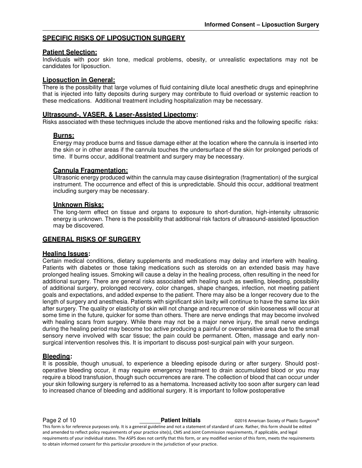#### **SPECIFIC RISKS OF LIPOSUCTION SURGERY**

#### **Patient Selection:**

Individuals with poor skin tone, medical problems, obesity, or unrealistic expectations may not be candidates for liposuction.

#### **Liposuction in General:**

There is the possibility that large volumes of fluid containing dilute local anesthetic drugs and epinephrine that is injected into fatty deposits during surgery may contribute to fluid overload or systemic reaction to these medications. Additional treatment including hospitalization may be necessary.

#### **Ultrasound-, VASER, & Laser-Assisted Lipectomy:**

Risks associated with these techniques include the above mentioned risks and the following specific risks:

#### **Burns:**

Energy may produce burns and tissue damage either at the location where the cannula is inserted into the skin or in other areas if the cannula touches the undersurface of the skin for prolonged periods of time. If burns occur, additional treatment and surgery may be necessary.

#### **Cannula Fragmentation:**

Ultrasonic energy produced within the cannula may cause disintegration (fragmentation) of the surgical instrument. The occurrence and effect of this is unpredictable. Should this occur, additional treatment including surgery may be necessary.

#### **Unknown Risks:**

The long-term effect on tissue and organs to exposure to short-duration, high-intensity ultrasonic energy is unknown. There is the possibility that additional risk factors of ultrasound-assisted liposuction may be discovered.

#### **GENERAL RISKS OF SURGERY**

#### **Healing Issues:**

Certain medical conditions, dietary supplements and medications may delay and interfere with healing. Patients with diabetes or those taking medications such as steroids on an extended basis may have prolonged healing issues. Smoking will cause a delay in the healing process, often resulting in the need for additional surgery. There are general risks associated with healing such as swelling, bleeding, possibility of additional surgery, prolonged recovery, color changes, shape changes, infection, not meeting patient goals and expectations, and added expense to the patient. There may also be a longer recovery due to the length of surgery and anesthesia. Patients with significant skin laxity will continue to have the same lax skin after surgery. The quality or elasticity of skin will not change and recurrence of skin looseness will occur at some time in the future, quicker for some than others. There are nerve endings that may become involved with healing scars from surgery. While there may not be a major nerve injury, the small nerve endings during the healing period may become too active producing a painful or oversensitive area due to the small sensory nerve involved with scar tissue; the pain could be permanent. Often, massage and early nonsurgical intervention resolves this. It is important to discuss post-surgical pain with your surgeon.

#### **Bleeding:**

It is possible, though unusual, to experience a bleeding episode during or after surgery. Should postoperative bleeding occur, it may require emergency treatment to drain accumulated blood or you may require a blood transfusion, though such occurrences are rare. The collection of blood that can occur under your skin following surgery is referred to as a hematoma. Increased activity too soon after surgery can lead to increased chance of bleeding and additional surgery. It is important to follow postoperative

**Page 2 of 10 Patient Initials CONFIDENT CONFIDENT CONFIDENT CONFIDENT** CONFIDENT CONFIDENT CONFIDENT CONFIDENT This form is for reference purposes only. It is a general guideline and not a statement of standard of care. Rather, this form should be edited and amended to reflect policy requirements of your practice site(s), CMS and Joint Commission requirements, if applicable, and legal requirements of your individual states. The ASPS does not certify that this form, or any modified version of this form, meets the requirements to obtain informed consent for this particular procedure in the jurisdiction of your practice.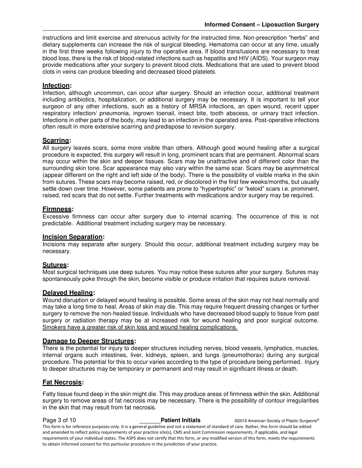instructions and limit exercise and strenuous activity for the instructed time. Non-prescription "herbs" and dietary supplements can increase the risk of surgical bleeding. Hematoma can occur at any time, usually in the first three weeks following injury to the operative area. If blood transfusions are necessary to treat blood loss, there is the risk of blood-related infections such as hepatitis and HIV (AIDS). Your surgeon may provide medications after your surgery to prevent blood clots. Medications that are used to prevent blood clots in veins can produce bleeding and decreased blood platelets.

### **Infection:**

Infection, although uncommon, can occur after surgery. Should an infection occur, additional treatment including antibiotics, hospitalization, or additional surgery may be necessary. It is important to tell your surgeon of any other infections, such as a history of MRSA infections, an open wound, recent upper respiratory infection/ pneumonia, ingrown toenail, insect bite, tooth abscess, or urinary tract infection. Infections in other parts of the body, may lead to an infection in the operated area. Post-operative infections often result in more extensive scarring and predispose to revision surgery.

# **Scarring:**

All surgery leaves scars, some more visible than others. Although good wound healing after a surgical procedure is expected, this surgery will result in long, prominent scars that are permanent. Abnormal scars may occur within the skin and deeper tissues. Scars may be unattractive and of different color than the surrounding skin tone. Scar appearance may also vary within the same scar. Scars may be asymmetrical (appear different on the right and left side of the body). There is the possibility of visible marks in the skin from sutures. These scars may become raised, red, or discolored in the first few weeks/months, but usually settle down over time. However, some patients are prone to "hypertrophic" or "keloid" scars i.e. prominent, raised, red scars that do not settle. Further treatments with medications and/or surgery may be required.

# **Firmness:**

Excessive firmness can occur after surgery due to internal scarring. The occurrence of this is not predictable. Additional treatment including surgery may be necessary.

#### **Incision Separation:**

Incisions may separate after surgery. Should this occur, additional treatment including surgery may be necessary.

#### **Sutures:**

Most surgical techniques use deep sutures. You may notice these sutures after your surgery. Sutures may spontaneously poke through the skin, become visible or produce irritation that requires suture removal.

#### **Delayed Healing:**

Wound disruption or delayed wound healing is possible. Some areas of the skin may not heal normally and may take a long time to heal. Areas of skin may die. This may require frequent dressing changes or further surgery to remove the non-healed tissue. Individuals who have decreased blood supply to tissue from past surgery or radiation therapy may be at increased risk for wound healing and poor surgical outcome. Smokers have a greater risk of skin loss and wound healing complications.

#### **Damage to Deeper Structures:**

There is the potential for injury to deeper structures including nerves, blood vessels, lymphatics, muscles, internal organs such intestines, liver, kidneys, spleen, and lungs (pneumothorax) during any surgical procedure. The potential for this to occur varies according to the type of procedure being performed. Injury to deeper structures may be temporary or permanent and may result in significant illness or death.

# **Fat Necrosis:**

Fatty tissue found deep in the skin might die. This may produce areas of firmness within the skin. Additional surgery to remove areas of fat necrosis may be necessary. There is the possibility of contour irregularities in the skin that may result from fat necrosis.

**Page 3 of 10 Patient Initials COVID-2016** American Society of Plastic Surgeons® This form is for reference purposes only. It is a general guideline and not a statement of standard of care. Rather, this form should be edited and amended to reflect policy requirements of your practice site(s), CMS and Joint Commission requirements, if applicable, and legal requirements of your individual states. The ASPS does not certify that this form, or any modified version of this form, meets the requirements to obtain informed consent for this particular procedure in the jurisdiction of your practice.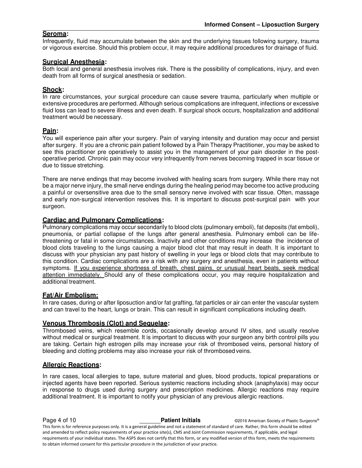### **Seroma:**

Infrequently, fluid may accumulate between the skin and the underlying tissues following surgery, trauma or vigorous exercise. Should this problem occur, it may require additional procedures for drainage of fluid.

### **Surgical Anesthesia:**

Both local and general anesthesia involves risk. There is the possibility of complications, injury, and even death from all forms of surgical anesthesia or sedation.

### **Shock:**

In rare circumstances, your surgical procedure can cause severe trauma, particularly when multiple or extensive procedures are performed. Although serious complications are infrequent, infections or excessive fluid loss can lead to severe illness and even death. If surgical shock occurs, hospitalization and additional treatment would be necessary.

#### **Pain:**

You will experience pain after your surgery. Pain of varying intensity and duration may occur and persist after surgery. If you are a chronic pain patient followed by a Pain Therapy Practitioner, you may be asked to see this practitioner pre operatively to assist you in the management of your pain disorder in the postoperative period. Chronic pain may occur very infrequently from nerves becoming trapped in scar tissue or due to tissue stretching.

There are nerve endings that may become involved with healing scars from surgery. While there may not be a major nerve injury, the small nerve endings during the healing period may become too active producing a painful or oversensitive area due to the small sensory nerve involved with scar tissue. Often, massage and early non-surgical intervention resolves this. It is important to discuss post-surgical pain with your surgeon.

#### **Cardiac and Pulmonary Complications:**

Pulmonary complications may occur secondarily to blood clots (pulmonary emboli), fat deposits (fat emboli), pneumonia, or partial collapse of the lungs after general anesthesia. Pulmonary emboli can be lifethreatening or fatal in some circumstances. Inactivity and other conditions may increase the incidence of blood clots traveling to the lungs causing a major blood clot that may result in death. It is important to discuss with your physician any past history of swelling in your legs or blood clots that may contribute to this condition. Cardiac complications are a risk with any surgery and anesthesia, even in patients without symptoms. If you experience shortness of breath, chest pains, or unusual heart beats, seek medical attention immediately. Should any of these complications occur, you may require hospitalization and additional treatment.

# **Fat/Air Embolism:**

In rare cases, during or after liposuction and/or fat grafting, fat particles or air can enter the vascular system and can travel to the heart, lungs or brain. This can result in significant complications including death.

#### **Venous Thrombosis (Clot) and Sequelae:**

Thrombosed veins, which resemble cords, occasionally develop around IV sites, and usually resolve without medical or surgical treatment. It is important to discuss with your surgeon any birth control pills you are taking. Certain high estrogen pills may increase your risk of thrombosed veins, personal history of bleeding and clotting problems may also increase your risk of thrombosed veins.

# **Allergic Reactions:**

In rare cases, local allergies to tape, suture material and glues, blood products, topical preparations or injected agents have been reported. Serious systemic reactions including shock (anaphylaxis) may occur in response to drugs used during surgery and prescription medicines. Allergic reactions may require additional treatment. It is important to notify your physician of any previous allergic reactions.

**Page 4 of 10 Patient Initials COVID-2016** American Society of Plastic Surgeons® This form is for reference purposes only. It is a general guideline and not a statement of standard of care. Rather, this form should be edited and amended to reflect policy requirements of your practice site(s), CMS and Joint Commission requirements, if applicable, and legal requirements of your individual states. The ASPS does not certify that this form, or any modified version of this form, meets the requirements to obtain informed consent for this particular procedure in the jurisdiction of your practice.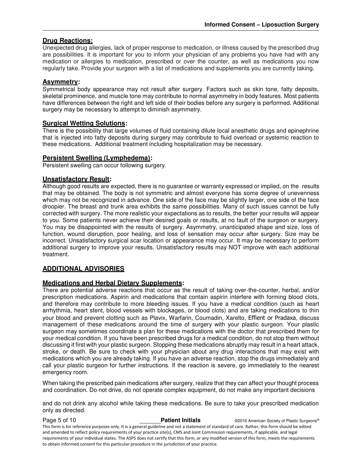# **Drug Reactions:**

Unexpected drug allergies, lack of proper response to medication, or illness caused by the prescribed drug are possibilities. It is important for you to inform your physician of any problems you have had with any medication or allergies to medication, prescribed or over the counter, as well as medications you now regularly take. Provide your surgeon with a list of medications and supplements you are currently taking.

#### **Asymmetry:**

Symmetrical body appearance may not result after surgery. Factors such as skin tone, fatty deposits, skeletal prominence, and muscle tone may contribute to normal asymmetry in body features. Most patients have differences between the right and left side of their bodies before any surgery is performed. Additional surgery may be necessary to attempt to diminish asymmetry.

### **Surgical Wetting Solutions:**

There is the possibility that large volumes of fluid containing dilute local anesthetic drugs and epinephrine that is injected into fatty deposits during surgery may contribute to fluid overload or systemic reaction to these medications. Additional treatment including hospitalization may be necessary.

#### **Persistent Swelling (Lymphedema):**

Persistent swelling can occur following surgery.

#### **Unsatisfactory Result:**

Although good results are expected, there is no guarantee or warranty expressed or implied, on the results that may be obtained. The body is not symmetric and almost everyone has some degree of unevenness which may not be recognized in advance. One side of the face may be slightly larger, one side of the face droopier. The breast and trunk area exhibits the same possibilities. Many of such issues cannot be fully corrected with surgery. The more realistic your expectations as to results, the better your results will appear to you. Some patients never achieve their desired goals or results, at no fault of the surgeon or surgery. You may be disappointed with the results of surgery. Asymmetry, unanticipated shape and size, loss of function, wound disruption, poor healing, and loss of sensation may occur after surgery. Size may be incorrect. Unsatisfactory surgical scar location or appearance may occur. It may be necessary to perform additional surgery to improve your results. Unsatisfactory results may NOT improve with each additional treatment.

#### **ADDITIONAL ADVISORIES**

# **Medications and Herbal Dietary Supplements:**

There are potential adverse reactions that occur as the result of taking over-the-counter, herbal, and/or prescription medications. Aspirin and medications that contain aspirin interfere with forming blood clots, and therefore may contribute to more bleeding issues. If you have a medical condition (such as heart arrhythmia, heart stent, blood vessels with blockages, or blood clots) and are taking medications to thin your blood and prevent clotting such as Plavix, Warfarin, Coumadin, Xarelto, Effient or Pradaxa, discuss management of these medications around the time of surgery with your plastic surgeon. Your plastic surgeon may sometimes coordinate a plan for these medications with the doctor that prescribed them for your medical condition. If you have been prescribed drugs for a medical condition, do not stop them without discussing it first with your plastic surgeon. Stopping these medications abruptly may result in a heart attack, stroke, or death. Be sure to check with your physician about any drug interactions that may exist with medications which you are already taking. If you have an adverse reaction, stop the drugs immediately and call your plastic surgeon for further instructions. If the reaction is severe, go immediately to the nearest emergency room.

When taking the prescribed pain medications after surgery, realize that they can affect your thought process and coordination. Do not drive, do not operate complex equipment, do not make any important decisions

and do not drink any alcohol while taking these medications. Be sure to take your prescribed medication only as directed.

**Page 5 of 10 Patient Initials COVID-2016 American Society of Plastic Surgeons<sup>®</sup>** This form is for reference purposes only. It is a general guideline and not a statement of standard of care. Rather, this form should be edited and amended to reflect policy requirements of your practice site(s), CMS and Joint Commission requirements, if applicable, and legal requirements of your individual states. The ASPS does not certify that this form, or any modified version of this form, meets the requirements to obtain informed consent for this particular procedure in the jurisdiction of your practice.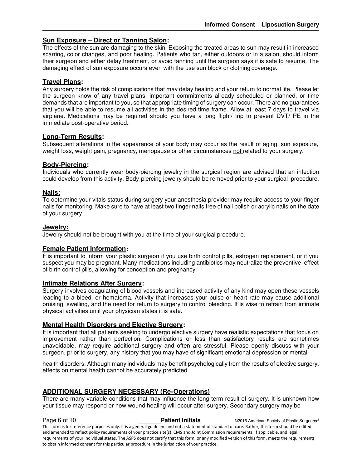# **Sun Exposure – Direct or Tanning Salon:**

The effects of the sun are damaging to the skin. Exposing the treated areas to sun may result in increased scarring, color changes, and poor healing. Patients who tan, either outdoors or in a salon, should inform their surgeon and either delay treatment, or avoid tanning until the surgeon says it is safe to resume. The damaging effect of sun exposure occurs even with the use sun block or clothing coverage.

### **Travel Plans:**

Any surgery holds the risk of complications that may delay healing and your return to normal life. Please let the surgeon know of any travel plans, important commitments already scheduled or planned, or time demands that are important to you, so that appropriate timing of surgery can occur. There are no guarantees that you will be able to resume all activities in the desired time frame. Allow at least 7 days to travel via airplane. Medications may be required should you have a long flight/ trip to prevent DVT/ PE in the immediate post-operative period.

#### **Long-Term Results:**

Subsequent alterations in the appearance of your body may occur as the result of aging, sun exposure, weight loss, weight gain, pregnancy, menopause or other circumstances not related to your surgery.

#### **Body-Piercing:**

Individuals who currently wear body-piercing jewelry in the surgical region are advised that an infection could develop from this activity. Body-piercing jewelry should be removed prior to your surgical procedure.

#### **Nails:**

To determine your vitals status during surgery your anesthesia provider may require access to your finger nails for monitoring. Make sure to have at least two finger nails free of nail polish or acrylic nails on the date of your surgery.

#### **Jewelry:**

Jewelry should not be brought with you at the time of your surgical procedure.

#### **Female Patient Information:**

It is important to inform your plastic surgeon if you use birth control pills, estrogen replacement, or if you suspect you may be pregnant. Many medications including antibiotics may neutralize the preventive effect of birth control pills, allowing for conception and pregnancy.

#### **Intimate Relations After Surgery:**

Surgery involves coagulating of blood vessels and increased activity of any kind may open these vessels leading to a bleed, or hematoma. Activity that increases your pulse or heart rate may cause additional bruising, swelling, and the need for return to surgery to control bleeding. It is wise to refrain from intimate physical activities until your physician states it is safe.

# **Mental Health Disorders and Elective Surgery:**

It is important that all patients seeking to undergo elective surgery have realistic expectations that focus on improvement rather than perfection. Complications or less than satisfactory results are sometimes unavoidable, may require additional surgery and often are stressful. Please openly discuss with your surgeon, prior to surgery, any history that you may have of significant emotional depression or mental

health disorders. Although many individuals may benefit psychologically from the results of elective surgery, effects on mental health cannot be accurately predicted.

# **ADDITIONAL SURGERY NECESSARY (Re-Operations)**

There are many variable conditions that may influence the long-term result of surgery. It is unknown how your tissue may respond or how wound healing will occur after surgery. Secondary surgery may be

**Page 6 of 10 Patient Initials COVID-2016** American Society of Plastic Surgeons® This form is for reference purposes only. It is a general guideline and not a statement of standard of care. Rather, this form should be edited and amended to reflect policy requirements of your practice site(s), CMS and Joint Commission requirements, if applicable, and legal requirements of your individual states. The ASPS does not certify that this form, or any modified version of this form, meets the requirements to obtain informed consent for this particular procedure in the jurisdiction of your practice.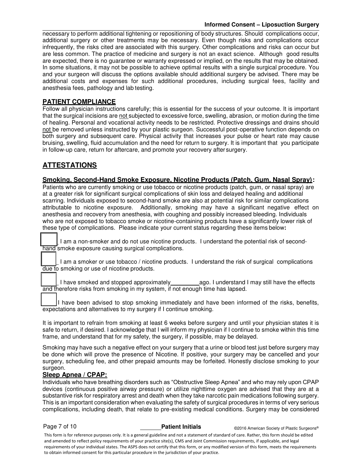#### **Informed Consent – Liposuction Surgery**

necessary to perform additional tightening or repositioning of body structures. Should complications occur, additional surgery or other treatments may be necessary. Even though risks and complications occur infrequently, the risks cited are associated with this surgery. Other complications and risks can occur but are less common. The practice of medicine and surgery is not an exact science. Although good results are expected, there is no guarantee or warranty expressed or implied, on the results that may be obtained. In some situations, it may not be possible to achieve optimal results with a single surgical procedure. You and your surgeon will discuss the options available should additional surgery be advised. There may be additional costs and expenses for such additional procedures, including surgical fees, facility and anesthesia fees, pathology and lab testing.

# **PATIENT COMPLIANCE**

Follow all physician instructions carefully; this is essential for the success of your outcome. It is important that the surgical incisions are not subjected to excessive force, swelling, abrasion, or motion during the time of healing. Personal and vocational activity needs to be restricted. Protective dressings and drains should not be removed unless instructed by your plastic surgeon. Successful post-operative function depends on both surgery and subsequent care. Physical activity that increases your pulse or heart rate may cause bruising, swelling, fluid accumulation and the need for return to surgery. It is important that you participate in follow-up care, return for aftercare, and promote your recovery after surgery.

# **ATTESTATIONS**

#### **Smoking, Second-Hand Smoke Exposure, Nicotine Products (Patch, Gum, Nasal Spray):**

Patients who are currently smoking or use tobacco or nicotine products (patch, gum, or nasal spray) are at a greater risk for significant surgical complications of skin loss and delayed healing and additional scarring. Individuals exposed to second-hand smoke are also at potential risk for similar complications attributable to nicotine exposure. Additionally, smoking may have a significant negative effect on anesthesia and recovery from anesthesia, with coughing and possibly increased bleeding. Individuals who are not exposed to tobacco smoke or nicotine-containing products have a significantly lower risk of these type of complications. Please indicate your current status regarding these items below**:** 

I am a non-smoker and do not use nicotine products. I understand the potential risk of secondhand smoke exposure causing surgical complications.

\_\_\_\_ I am a smoker or use tobacco / nicotine products. I understand the risk of surgical complications due to smoking or use of nicotine products.

I have smoked and stopped approximately ago. I understand I may still have the effects and therefore risks from smoking in my system, if not enough time has lapsed.

I have been advised to stop smoking immediately and have been informed of the risks, benefits, expectations and alternatives to my surgery if I continue smoking.

It is important to refrain from smoking at least 6 weeks before surgery and until your physician states it is safe to return, if desired. I acknowledge that I will inform my physician if I continue to smoke within this time frame, and understand that for my safety, the surgery, if possible, may be delayed.

Smoking may have such a negative effect on your surgery that a urine or blood test just before surgery may be done which will prove the presence of Nicotine. If positive, your surgery may be cancelled and your surgery, scheduling fee, and other prepaid amounts may be forfeited. Honestly disclose smoking to your surgeon.

#### **Sleep Apnea / CPAP:**

Individuals who have breathing disorders such as "Obstructive Sleep Apnea" and who may rely upon CPAP devices (continuous positive airway pressure) or utilize nighttime oxygen are advised that they are at a substantive risk for respiratory arrest and death when they take narcotic pain medications following surgery. This is an important consideration when evaluating the safety of surgical procedures in terms of very serious complications, including death, that relate to pre-existing medical conditions. Surgery may be considered

Page 7 of 10 **Patient Initials COVID BEGIN PAGE 2016** American Society of Plastic Surgeons®

This form is for reference purposes only. It is a general guideline and not a statement of standard of care. Rather, this form should be edited and amended to reflect policy requirements of your practice site(s), CMS and Joint Commission requirements, if applicable, and legal requirements of your individual states. The ASPS does not certify that this form, or any modified version of this form, meets the requirements to obtain informed consent for this particular procedure in the jurisdiction of your practice.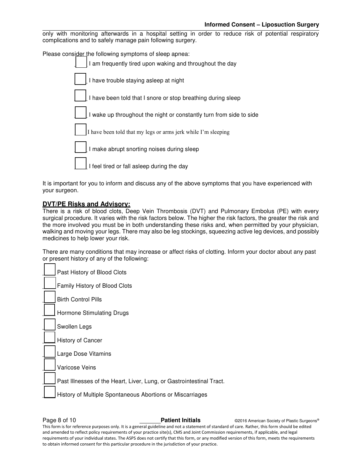only with monitoring afterwards in a hospital setting in order to reduce risk of potential respiratory complications and to safely manage pain following surgery.

Please consider the following symptoms of sleep apnea:

| I am frequently tired upon waking and throughout the day            |
|---------------------------------------------------------------------|
| I have trouble staying asleep at night                              |
| I have been told that I snore or stop breathing during sleep        |
| I wake up throughout the night or constantly turn from side to side |
| I have been told that my legs or arms jerk while I'm sleeping       |
| I make abrupt snorting noises during sleep                          |
| I feel tired or fall asleep during the day                          |
|                                                                     |

It is important for you to inform and discuss any of the above symptoms that you have experienced with your surgeon.

#### **DVT/PE Risks and Advisory:**

There is a risk of blood clots, Deep Vein Thrombosis (DVT) and Pulmonary Embolus (PE) with every surgical procedure. It varies with the risk factors below. The higher the risk factors, the greater the risk and the more involved you must be in both understanding these risks and, when permitted by your physician, walking and moving your legs. There may also be leg stockings, squeezing active leg devices, and possibly medicines to help lower your risk.

There are many conditions that may increase or affect risks of clotting. Inform your doctor about any past or present history of any of the following:

Past History of Blood Clots Family History of Blood Clots \_\_\_\_ Birth Control Pills Hormone Stimulating Drugs Swollen Legs History of Cancer Large Dose Vitamins Varicose Veins Past Illnesses of the Heart, Liver, Lung, or Gastrointestinal Tract. History of Multiple Spontaneous Abortions or Miscarriages

**Page 8 of 10 Patient Initials CONFIDENT CONFIDENT CONFIDENT ACCORDING PARTIC CONFIDENT CONFIDENT CONFIDENT CONFIDENT CONFIDENT CONFIDENT CONFIDENT CONFIDENT CONFIDENT CONFIDENT CONFIDENT CONFIDENT CONFIDENT CONFIDENT** This form is for reference purposes only. It is a general guideline and not a statement of standard of care. Rather, this form should be edited and amended to reflect policy requirements of your practice site(s), CMS and Joint Commission requirements, if applicable, and legal requirements of your individual states. The ASPS does not certify that this form, or any modified version of this form, meets the requirements to obtain informed consent for this particular procedure in the jurisdiction of your practice.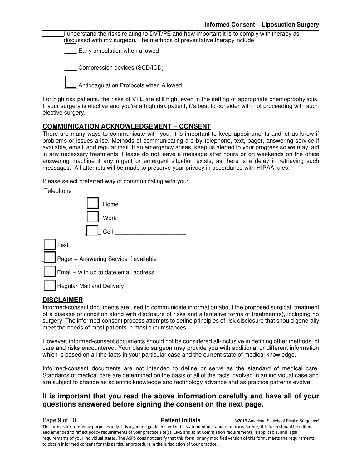I understand the risks relating to DVT/PE and how important it is to comply with therapy as discussed with my surgeon. The methods of preventative therapy include:

Early ambulation when allowed

Compression devices (SCD/ICD)

Anticoagulation Protocols when Allowed

For high risk patients, the risks of VTE are still high, even in the setting of appropriate chemoprophylaxis. If your surgery is elective and you're a high risk patient, it's best to consider with not proceeding with such elective surgery.

# **COMMUNICATION ACKNOWLEDGEMENT – CONSENT**

There are many ways to communicate with you. It is important to keep appointments and let us know if problems or issues arise. Methods of communicating are by telephone, text, pager, answering service if available, email, and regular mail. If an emergency arises, keep us alerted to your progress so we may aid in any necessary treatments. Please do not leave a message after hours or on weekends on the office answering machine if any urgent or emergent situation exists, as there is a delay in retrieving such messages. All attempts will be made to preserve your privacy in accordance with HIPAA rules.

Please select preferred way of communicating with you:

**Telephone** 

| Home                                   |
|----------------------------------------|
| Work                                   |
| Cell                                   |
| Text                                   |
| Pager - Answering Service if available |
| Email - with up to date email address  |
| Regular Mail and Delivery              |

# **DISCLAIMER**

Informed-consent documents are used to communicate information about the proposed surgical treatment of a disease or condition along with disclosure of risks and alternative forms of treatment(s), including no surgery. The informed-consent process attempts to define principles of risk disclosure that should generally meet the needs of most patients in most circumstances.

However, informed-consent documents should not be considered all-inclusive in defining other methods of care and risks encountered. Your plastic surgeon may provide you with additional or different information which is based on all the facts in your particular case and the current state of medical knowledge.

Informed-consent documents are not intended to define or serve as the standard of medical care. Standards of medical care are determined on the basis of all of the facts involved in an individual case and are subject to change as scientific knowledge and technology advance and as practice patterns evolve.

# **It is important that you read the above information carefully and have all of your questions answered before signing the consent on the next page.**

**Page 9 of 10 Patient Initials COVID-2016** American Society of Plastic Surgeons® This form is for reference purposes only. It is a general guideline and not a statement of standard of care. Rather, this form should be edited and amended to reflect policy requirements of your practice site(s), CMS and Joint Commission requirements, if applicable, and legal requirements of your individual states. The ASPS does not certify that this form, or any modified version of this form, meets the requirements to obtain informed consent for this particular procedure in the jurisdiction of your practice.